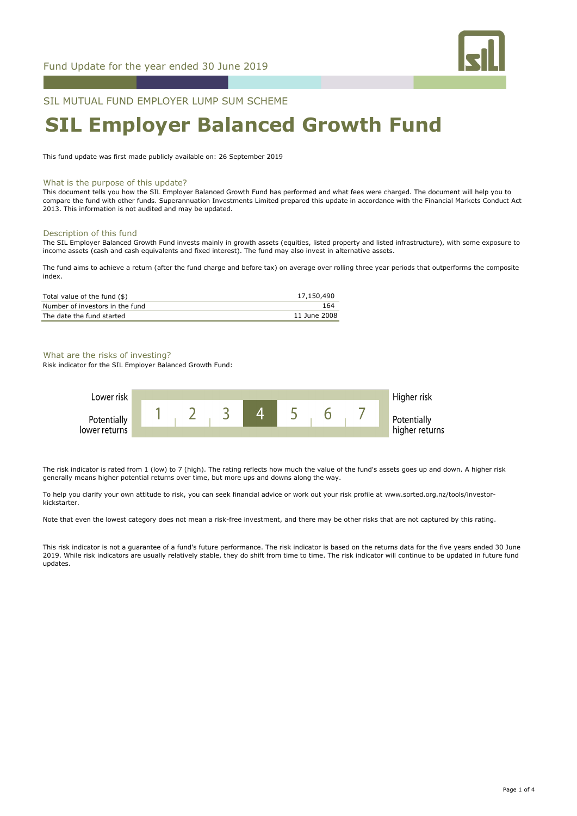

SIL MUTUAL FUND EMPLOYER LUMP SUM SCHEME

# **SIL Employer Balanced Growth Fund**

This fund update was first made publicly available on: 26 September 2019

### What is the purpose of this update?

This document tells you how the SIL Employer Balanced Growth Fund has performed and what fees were charged. The document will help you to compare the fund with other funds. Superannuation Investments Limited prepared this update in accordance with the Financial Markets Conduct Act 2013. This information is not audited and may be updated.

#### Description of this fund

The SIL Employer Balanced Growth Fund invests mainly in growth assets (equities, listed property and listed infrastructure), with some exposure to income assets (cash and cash equivalents and fixed interest). The fund may also invest in alternative assets.

The fund aims to achieve a return (after the fund charge and before tax) on average over rolling three year periods that outperforms the composite index.

| Total value of the fund $(\$)$  | 17,150,490   |
|---------------------------------|--------------|
| Number of investors in the fund | 164          |
| The date the fund started       | 11 June 2008 |

### What are the risks of investing?

Risk indicator for the SIL Employer Balanced Growth Fund:



The risk indicator is rated from 1 (low) to 7 (high). The rating reflects how much the value of the fund's assets goes up and down. A higher risk generally means higher potential returns over time, but more ups and downs along the way.

To help you clarify your own attitude to risk, you can seek financial advice or work out your risk profile at www.sorted.org.nz/tools/investorkickstarter.

Note that even the lowest category does not mean a risk-free investment, and there may be other risks that are not captured by this rating.

This risk indicator is not a guarantee of a fund's future performance. The risk indicator is based on the returns data for the five years ended 30 June 2019. While risk indicators are usually relatively stable, they do shift from time to time. The risk indicator will continue to be updated in future fund updates.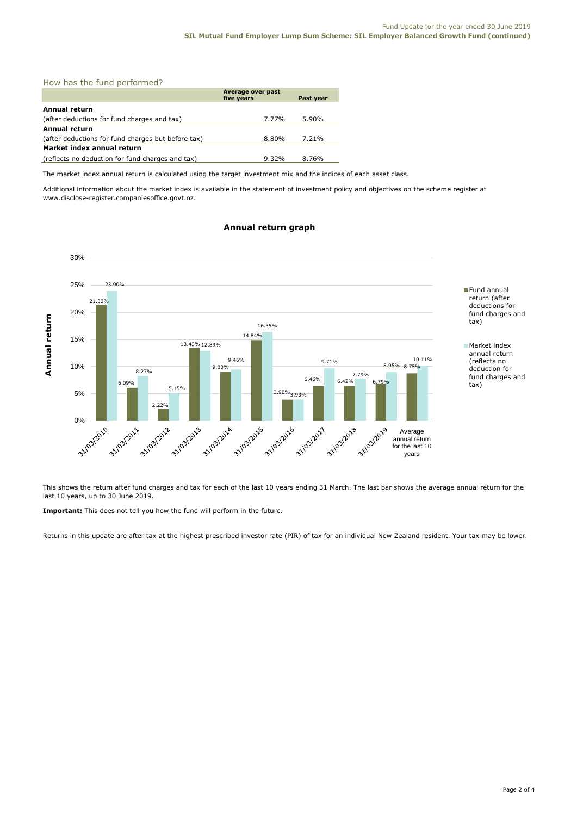| How has the fund performed? |  |
|-----------------------------|--|
|-----------------------------|--|

|                                                    | Average over past<br>five years | Past year |  |
|----------------------------------------------------|---------------------------------|-----------|--|
| Annual return                                      |                                 |           |  |
| (after deductions for fund charges and tax)        | 7.77%                           | 5.90%     |  |
| <b>Annual return</b>                               |                                 |           |  |
| (after deductions for fund charges but before tax) | 8.80%                           | 7.21%     |  |
| Market index annual return                         |                                 |           |  |
| (reflects no deduction for fund charges and tax)   | $9.32\%$                        | 8.76%     |  |

The market index annual return is calculated using the target investment mix and the indices of each asset class.

Additional information about the market index is available in the statement of investment policy and objectives on the scheme register at www.disclose-register.companiesoffice.govt.nz.

#### 30% 25% 23.90% Fund annual return (after 21.32% deductions for 20% fund charges and Annual return **Annual return** tax) 16.35% 14.84% 15% Market index 13.43% 12.89% annual return 10.11% 9.46% 9.71% (reflects no 10% 9.03% 8.75% 8.95% deduction for 8.27% 7.79% fund charges and  $6.46\%$   $6.42\%$ 6.09% tax) 5.15% 5% 3.90% 3.93% 2.22% A 103/2015 55 103/2016 33 103/2014 50 103/2017 3 - 31/03/2011 31/03/2012 31/03/2013 31/03/2018 0% -33/03/2019 Average annual return for the last 10 years

# **Annual return graph**

This shows the return after fund charges and tax for each of the last 10 years ending 31 March. The last bar shows the average annual return for the last 10 years, up to 30 June 2019.

**Important:** This does not tell you how the fund will perform in the future.

Returns in this update are after tax at the highest prescribed investor rate (PIR) of tax for an individual New Zealand resident. Your tax may be lower.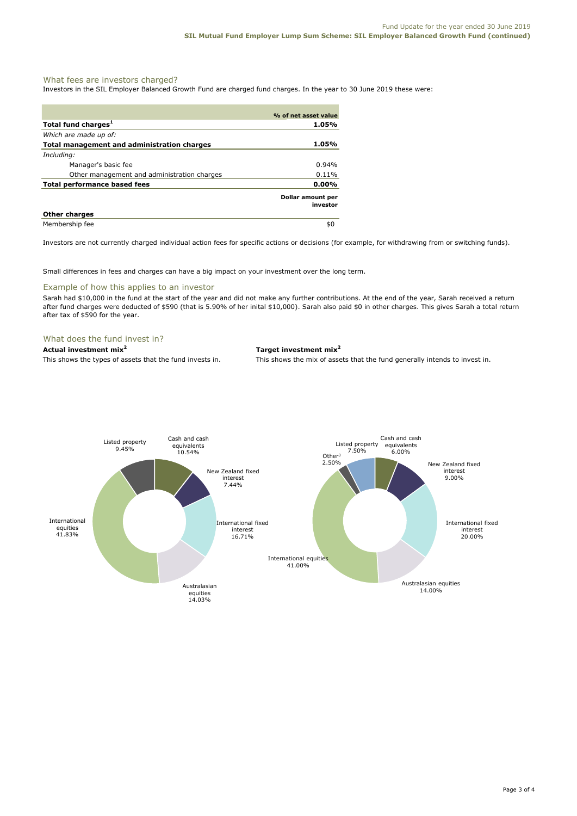# What fees are investors charged?

Investors in the SIL Employer Balanced Growth Fund are charged fund charges. In the year to 30 June 2019 these were:

|                                             | % of net asset value          |
|---------------------------------------------|-------------------------------|
| Total fund charges <sup>1</sup>             | 1.05%                         |
| Which are made up of:                       |                               |
| Total management and administration charges | 1.05%                         |
| Including:                                  |                               |
| Manager's basic fee                         | $0.94\%$                      |
| Other management and administration charges | 0.11%                         |
| Total performance based fees                | $0.00\%$                      |
|                                             | Dollar amount per<br>investor |
| <b>Other charges</b>                        |                               |
| Membership fee                              | \$0                           |

Investors are not currently charged individual action fees for specific actions or decisions (for example, for withdrawing from or switching funds).

Small differences in fees and charges can have a big impact on your investment over the long term.

# Example of how this applies to an investor

Sarah had \$10,000 in the fund at the start of the year and did not make any further contributions. At the end of the year, Sarah received a return after fund charges were deducted of \$590 (that is 5.90% of her inital \$10,000). Sarah also paid \$0 in other charges. This gives Sarah a total return after tax of \$590 for the year.

# What does the fund invest in?

# **Actual investment mix<sup>2</sup> Target investment mix<sup>2</sup>**

This shows the types of assets that the fund invests in. This shows the mix of assets that the fund generally intends to invest in.